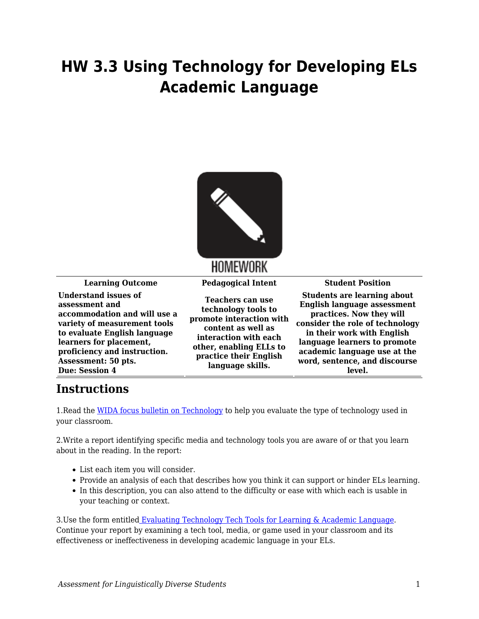## **HW 3.3 Using Technology for Developing ELs Academic Language**



**Learning Outcome Pedagogical Intent Student Position Understand issues of assessment and accommodation and will use a variety of measurement tools to evaluate English language learners for placement, proficiency and instruction. Assessment: 50 pts. Due: Session 4**

**Teachers can use technology tools to promote interaction with content as well as interaction with each other, enabling ELLs to practice their English language skills.**

**Students are learning about English language assessment practices. Now they will consider the role of technology in their work with English language learners to promote academic language use at the word, sentence, and discourse level.**

## **Instructions**

1.Read the [WIDA focus bulletin on Technology](https://byu.box.com/s/2ytkpmr19vnt4ljec4uhpckek66wqjeo) to help you evaluate the type of technology used in your classroom.

2.Write a report identifying specific media and technology tools you are aware of or that you learn about in the reading. In the report:

- List each item you will consider.
- Provide an analysis of each that describes how you think it can support or hinder ELs learning.
- In this description, you can also attend to the difficulty or ease with which each is usable in your teaching or context.

3. Use the form entitle[d Evaluating Technology Tech Tools for Learning & Academic Language.](https://byu.box.com/s/9dnwnm7bhs5cu7pp1vosg4kmirmsoul7) Continue your report by examining a tech tool, media, or game used in your classroom and its effectiveness or ineffectiveness in developing academic language in your ELs.